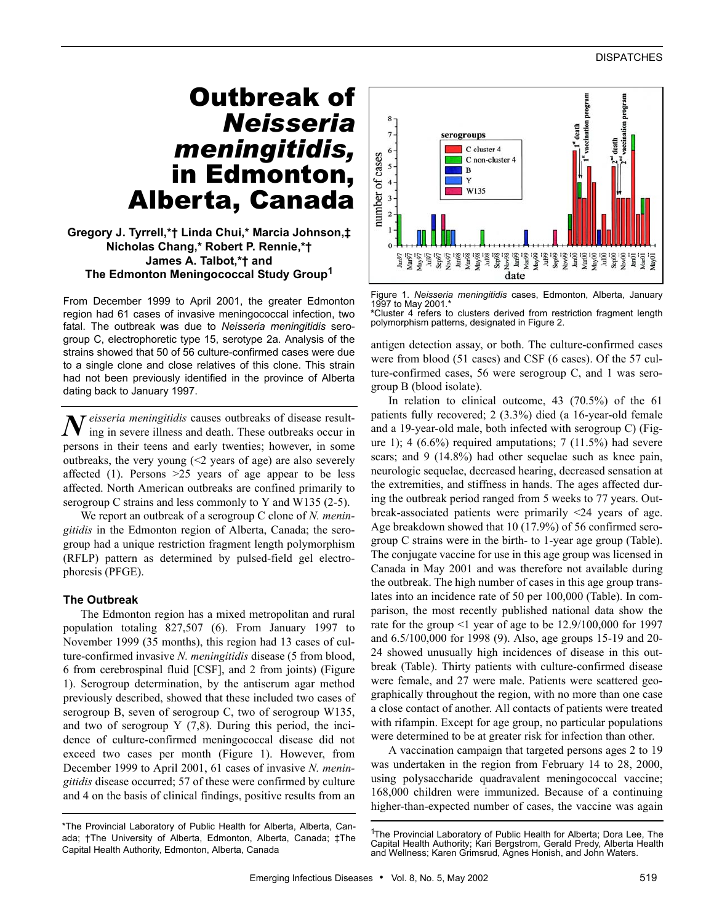# Outbreak of *Neisseria meningitidis,* in Edmonton, Alberta, Canada

## **Gregory J. Tyrrell,\*† Linda Chui,\* Marcia Johnson,‡ Nicholas Chang,\* Robert P. Rennie,\*† James A. Talbot,\*† and The Edmonton Meningococcal Study Group1**

From December 1999 to April 2001, the greater Edmonton region had 61 cases of invasive meningococcal infection, two fatal. The outbreak was due to *Neisseria meningitidis* serogroup C, electrophoretic type 15, serotype 2a. Analysis of the strains showed that 50 of 56 culture-confirmed cases were due to a single clone and close relatives of this clone. This strain had not been previously identified in the province of Alberta dating back to January 1997.

 $N$  eisseria meningitidis causes outbreaks of disease result-<br>ing in severe illness and death. These outbreaks occur in ing in severe illness and death. These outbreaks occur in persons in their teens and early twenties; however, in some outbreaks, the very young  $(\leq 2)$  years of age) are also severely affected (1). Persons  $>25$  years of age appear to be less affected. North American outbreaks are confined primarily to serogroup C strains and less commonly to Y and W135 (2-5).

We report an outbreak of a serogroup C clone of *N. meningitidis* in the Edmonton region of Alberta, Canada; the serogroup had a unique restriction fragment length polymorphism (RFLP) pattern as determined by pulsed-field gel electrophoresis (PFGE).

### **The Outbreak**

The Edmonton region has a mixed metropolitan and rural population totaling 827,507 (6). From January 1997 to November 1999 (35 months), this region had 13 cases of culture-confirmed invasive *N. meningitidis* disease (5 from blood, 6 from cerebrospinal fluid [CSF], and 2 from joints) (Figure 1). Serogroup determination, by the antiserum agar method previously described, showed that these included two cases of serogroup B, seven of serogroup C, two of serogroup W135, and two of serogroup Y (7,8). During this period, the incidence of culture-confirmed meningococcal disease did not exceed two cases per month (Figure 1). However, from December 1999 to April 2001, 61 cases of invasive *N. meningitidis* disease occurred; 57 of these were confirmed by culture and 4 on the basis of clinical findings, positive results from an



Figure 1. *Neisseria meningitidis* cases, Edmonton, Alberta, January 1997 to May 2001.\* **\***Cluster 4 refers to clusters derived from restriction fragment length polymorphism patterns, designated in Figure 2.

antigen detection assay, or both. The culture-confirmed cases were from blood (51 cases) and CSF (6 cases). Of the 57 culture-confirmed cases, 56 were serogroup C, and 1 was serogroup B (blood isolate).

In relation to clinical outcome, 43 (70.5%) of the 61 patients fully recovered; 2 (3.3%) died (a 16-year-old female and a 19-year-old male, both infected with serogroup C) (Figure 1); 4  $(6.6\%)$  required amputations; 7  $(11.5\%)$  had severe scars; and 9 (14.8%) had other sequelae such as knee pain, neurologic sequelae, decreased hearing, decreased sensation at the extremities, and stiffness in hands. The ages affected during the outbreak period ranged from 5 weeks to 77 years. Outbreak-associated patients were primarily <24 years of age. Age breakdown showed that 10 (17.9%) of 56 confirmed serogroup C strains were in the birth- to 1-year age group (Table). The conjugate vaccine for use in this age group was licensed in Canada in May 2001 and was therefore not available during the outbreak. The high number of cases in this age group translates into an incidence rate of 50 per 100,000 (Table). In comparison, the most recently published national data show the rate for the group  $\leq 1$  year of age to be 12.9/100,000 for 1997 and 6.5/100,000 for 1998 (9). Also, age groups 15-19 and 20- 24 showed unusually high incidences of disease in this outbreak (Table). Thirty patients with culture-confirmed disease were female, and 27 were male. Patients were scattered geographically throughout the region, with no more than one case a close contact of another. All contacts of patients were treated with rifampin. Except for age group, no particular populations were determined to be at greater risk for infection than other.

A vaccination campaign that targeted persons ages 2 to 19 was undertaken in the region from February 14 to 28, 2000, using polysaccharide quadravalent meningococcal vaccine; 168,000 children were immunized. Because of a continuing higher-than-expected number of cases, the vaccine was again

<sup>\*</sup>The Provincial Laboratory of Public Health for Alberta, Alberta, Canada; †The University of Alberta, Edmonton, Alberta, Canada; ‡The Capital Health Authority, Edmonton, Alberta, Canada

<sup>&</sup>lt;sup>1</sup>The Provincial Laboratory of Public Health for Alberta; Dora Lee, The<br>Capital Health Authority; Kari Bergstrom, Gerald Predy, Alberta Health and Wellness; Karen Grimsrud, Agnes Honish, and John Waters.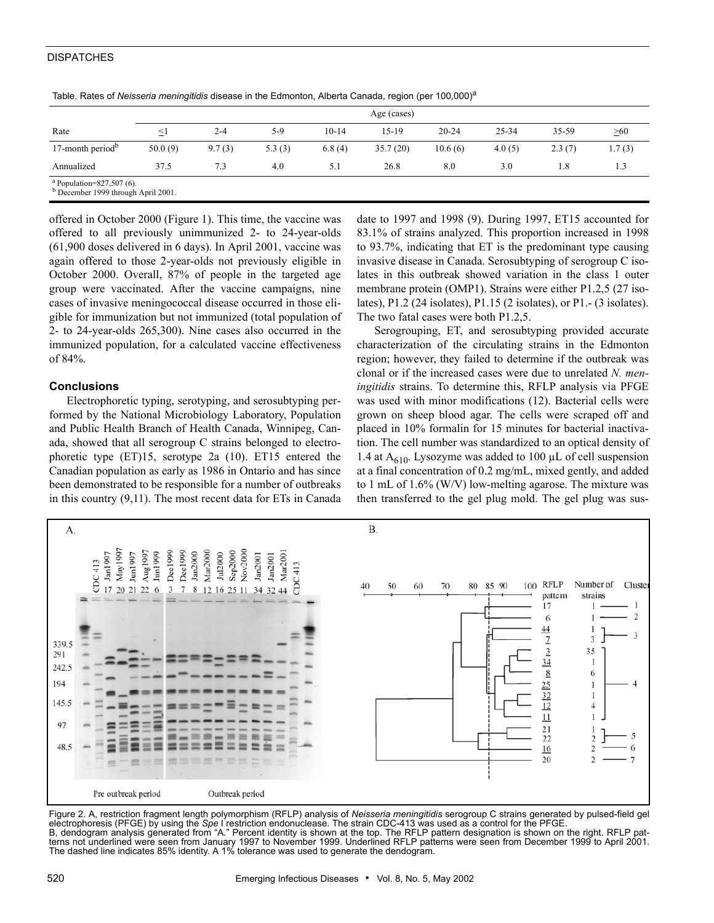### **DISPATCHES**

|                                                                       | -           |         | $\sim$<br>$\sim$ |           |          |           |        |        |        |  |  |
|-----------------------------------------------------------------------|-------------|---------|------------------|-----------|----------|-----------|--------|--------|--------|--|--|
| Rate                                                                  | Age (cases) |         |                  |           |          |           |        |        |        |  |  |
|                                                                       | $\leq$      | $2 - 4$ | $5-9$            | $10 - 14$ | 15-19    | $20 - 24$ | 25-34  | 35-59  | >60    |  |  |
| 17-month period $b$                                                   | 50.0(9)     | 9.7(3)  | 5.3(3)           | 6.8(4)    | 35.7(20) | 10.6(6)   | 4.0(5) | 2.3(7) | 1.7(3) |  |  |
| Annualized                                                            | 37.5        | 7.3     | 4.0              | 5.1       | 26.8     | 8.0       | 3.0    | 1.8    | 1.3    |  |  |
| $a$ Population=827,507 (6).<br>$D_{Dogombar}$ 1000 theoral April 2001 |             |         |                  |           |          |           |        |        |        |  |  |

Table. Rates of *Neisseria meningitidis* disease in the Edmonton, Alberta Canada, region (per 100,000)<sup>a</sup>

b December 1999 through April 2001.

offered in October 2000 (Figure 1). This time, the vaccine was offered to all previously unimmunized 2- to 24-year-olds (61,900 doses delivered in 6 days). In April 2001, vaccine was again offered to those 2-year-olds not previously eligible in October 2000. Overall, 87% of people in the targeted age group were vaccinated. After the vaccine campaigns, nine cases of invasive meningococcal disease occurred in those eligible for immunization but not immunized (total population of 2- to 24-year-olds 265,300). Nine cases also occurred in the immunized population, for a calculated vaccine effectiveness of 84%.

## **Conclusions**

Electrophoretic typing, serotyping, and serosubtyping performed by the National Microbiology Laboratory, Population and Public Health Branch of Health Canada, Winnipeg, Canada, showed that all serogroup C strains belonged to electrophoretic type (ET)15, serotype 2a (10). ET15 entered the Canadian population as early as 1986 in Ontario and has since been demonstrated to be responsible for a number of outbreaks in this country (9,11). The most recent data for ETs in Canada

date to 1997 and 1998 (9). During 1997, ET15 accounted for 83.1% of strains analyzed. This proportion increased in 1998 to 93.7%, indicating that ET is the predominant type causing invasive disease in Canada. Serosubtyping of serogroup C isolates in this outbreak showed variation in the class 1 outer membrane protein (OMP1). Strains were either P1.2,5 (27 isolates), P1.2 (24 isolates), P1.15 (2 isolates), or P1.- (3 isolates). The two fatal cases were both P1.2,5.

Serogrouping, ET, and serosubtyping provided accurate characterization of the circulating strains in the Edmonton region; however, they failed to determine if the outbreak was clonal or if the increased cases were due to unrelated *N. meningitidis* strains. To determine this, RFLP analysis via PFGE was used with minor modifications (12). Bacterial cells were grown on sheep blood agar. The cells were scraped off and placed in 10% formalin for 15 minutes for bacterial inactivation. The cell number was standardized to an optical density of 1.4 at  $A_{610}$ . Lysozyme was added to 100 µL of cell suspension at a final concentration of 0.2 mg/mL, mixed gently, and added to 1 mL of 1.6% (W/V) low-melting agarose. The mixture was then transferred to the gel plug mold. The gel plug was sus-



Figure 2. A, restriction fragment length polymorphism (RFLP) analysis of *Neisseria meningitidis* serogroup C strains generated by pulsed-field gel electrophoresis (PFGE) by using the *Spe* I restriction endonuclease. The strain CDC-413 was used as a control for the PFGE. B, dendogram analysis generated from "A." Percent identity is shown at the top. The RFLP pattern designation is shown on the right. RFLP patterns not underlined were seen from January 1997 to November 1999. Underlined RFLP patterns were seen from December 1999 to April 2001. The dashed line indicates 85% identity. A 1% tolerance was used to generate the dendogram.